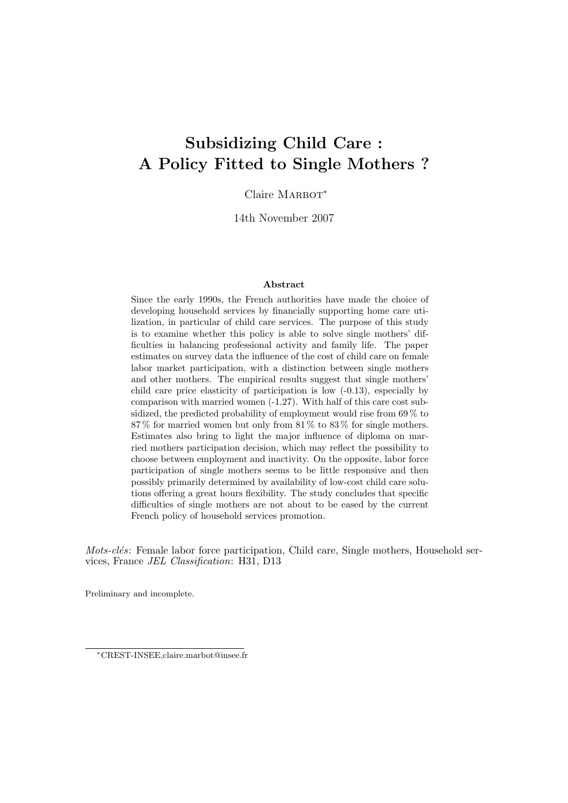# Subsidizing Child Care : A Policy Fitted to Single Mothers ?

Claire MARBOT<sup>\*</sup>

14th November 2007

#### Abstract

Since the early 1990s, the French authorities have made the choice of developing household services by financially supporting home care utilization, in particular of child care services. The purpose of this study is to examine whether this policy is able to solve single mothers' difficulties in balancing professional activity and family life. The paper estimates on survey data the influence of the cost of child care on female labor market participation, with a distinction between single mothers and other mothers. The empirical results suggest that single mothers' child care price elasticity of participation is low (-0.13), especially by comparison with married women (-1.27). With half of this care cost subsidized, the predicted probability of employment would rise from 69 % to 87 % for married women but only from 81 % to 83 % for single mothers. Estimates also bring to light the major influence of diploma on married mothers participation decision, which may reflect the possibility to choose between employment and inactivity. On the opposite, labor force participation of single mothers seems to be little responsive and then possibly primarily determined by availability of low-cost child care solutions offering a great hours flexibility. The study concludes that specific difficulties of single mothers are not about to be eased by the current French policy of household services promotion.

*Mots-clés*: Female labor force participation, Child care, Single mothers, Household services, France JEL Classification: H31, D13

Preliminary and incomplete.

<sup>∗</sup>CREST-INSEE,claire.marbot@insee.fr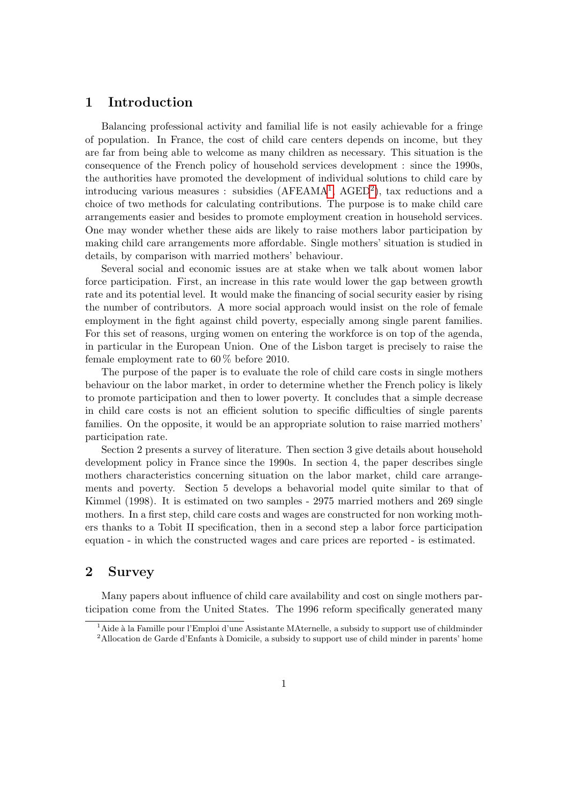# 1 Introduction

Balancing professional activity and familial life is not easily achievable for a fringe of population. In France, the cost of child care centers depends on income, but they are far from being able to welcome as many children as necessary. This situation is the consequence of the French policy of household services development : since the 1990s, the authorities have promoted the development of individual solutions to child care by introducing various measures : subsidies (AFEAMA<sup>[1](#page-1-0)</sup>, AGED<sup>[2](#page-1-1)</sup>), tax reductions and a choice of two methods for calculating contributions. The purpose is to make child care arrangements easier and besides to promote employment creation in household services. One may wonder whether these aids are likely to raise mothers labor participation by making child care arrangements more affordable. Single mothers' situation is studied in details, by comparison with married mothers' behaviour.

Several social and economic issues are at stake when we talk about women labor force participation. First, an increase in this rate would lower the gap between growth rate and its potential level. It would make the financing of social security easier by rising the number of contributors. A more social approach would insist on the role of female employment in the fight against child poverty, especially among single parent families. For this set of reasons, urging women on entering the workforce is on top of the agenda, in particular in the European Union. One of the Lisbon target is precisely to raise the female employment rate to 60 % before 2010.

The purpose of the paper is to evaluate the role of child care costs in single mothers behaviour on the labor market, in order to determine whether the French policy is likely to promote participation and then to lower poverty. It concludes that a simple decrease in child care costs is not an efficient solution to specific difficulties of single parents families. On the opposite, it would be an appropriate solution to raise married mothers' participation rate.

Section 2 presents a survey of literature. Then section 3 give details about household development policy in France since the 1990s. In section 4, the paper describes single mothers characteristics concerning situation on the labor market, child care arrangements and poverty. Section 5 develops a behavorial model quite similar to that of Kimmel (1998). It is estimated on two samples - 2975 married mothers and 269 single mothers. In a first step, child care costs and wages are constructed for non working mothers thanks to a Tobit II specification, then in a second step a labor force participation equation - in which the constructed wages and care prices are reported - is estimated.

# 2 Survey

Many papers about influence of child care availability and cost on single mothers participation come from the United States. The 1996 reform specifically generated many

<span id="page-1-1"></span><span id="page-1-0"></span><sup>&</sup>lt;sup>1</sup> Aide à la Famille pour l'Emploi d'une Assistante MAternelle, a subsidy to support use of childminder  $2$ Allocation de Garde d'Enfants à Domicile, a subsidy to support use of child minder in parents' home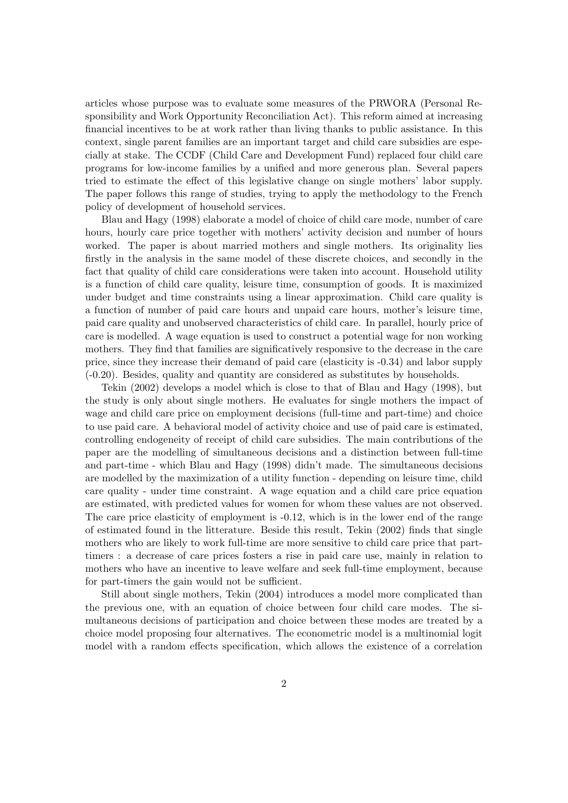articles whose purpose was to evaluate some measures of the PRWORA (Personal Responsibility and Work Opportunity Reconciliation Act). This reform aimed at increasing financial incentives to be at work rather than living thanks to public assistance. In this context, single parent families are an important target and child care subsidies are especially at stake. The CCDF (Child Care and Development Fund) replaced four child care programs for low-income families by a unified and more generous plan. Several papers tried to estimate the effect of this legislative change on single mothers' labor supply. The paper follows this range of studies, trying to apply the methodology to the French policy of development of household services.

Blau and Hagy (1998) elaborate a model of choice of child care mode, number of care hours, hourly care price together with mothers' activity decision and number of hours worked. The paper is about married mothers and single mothers. Its originality lies firstly in the analysis in the same model of these discrete choices, and secondly in the fact that quality of child care considerations were taken into account. Household utility is a function of child care quality, leisure time, consumption of goods. It is maximized under budget and time constraints using a linear approximation. Child care quality is a function of number of paid care hours and unpaid care hours, mother's leisure time, paid care quality and unobserved characteristics of child care. In parallel, hourly price of care is modelled. A wage equation is used to construct a potential wage for non working mothers. They find that families are significatively responsive to the decrease in the care price, since they increase their demand of paid care (elasticity is -0.34) and labor supply (-0.20). Besides, quality and quantity are considered as substitutes by households.

Tekin (2002) develops a model which is close to that of Blau and Hagy (1998), but the study is only about single mothers. He evaluates for single mothers the impact of wage and child care price on employment decisions (full-time and part-time) and choice to use paid care. A behavioral model of activity choice and use of paid care is estimated, controlling endogeneity of receipt of child care subsidies. The main contributions of the paper are the modelling of simultaneous decisions and a distinction between full-time and part-time - which Blau and Hagy (1998) didn't made. The simultaneous decisions are modelled by the maximization of a utility function - depending on leisure time, child care quality - under time constraint. A wage equation and a child care price equation are estimated, with predicted values for women for whom these values are not observed. The care price elasticity of employment is -0.12, which is in the lower end of the range of estimated found in the litterature. Beside this result, Tekin (2002) finds that single mothers who are likely to work full-time are more sensitive to child care price that parttimers : a decrease of care prices fosters a rise in paid care use, mainly in relation to mothers who have an incentive to leave welfare and seek full-time employment, because for part-timers the gain would not be sufficient.

Still about single mothers, Tekin (2004) introduces a model more complicated than the previous one, with an equation of choice between four child care modes. The simultaneous decisions of participation and choice between these modes are treated by a choice model proposing four alternatives. The econometric model is a multinomial logit model with a random effects specification, which allows the existence of a correlation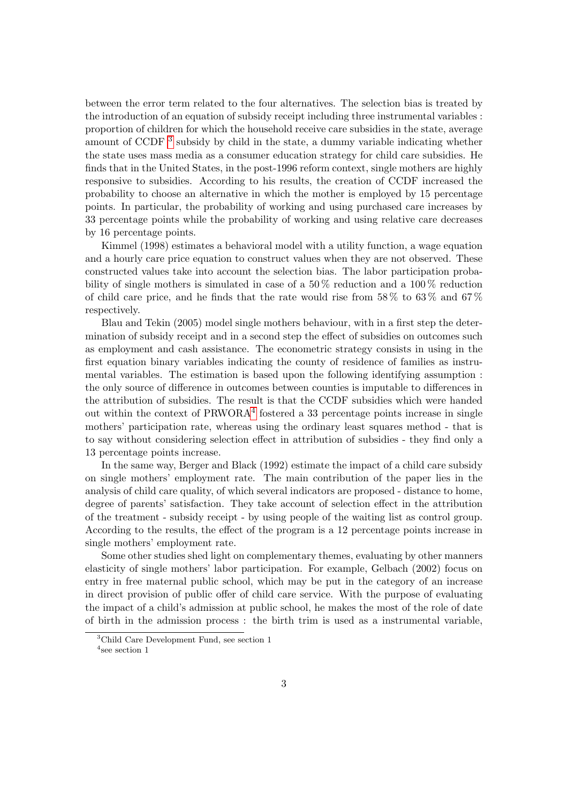between the error term related to the four alternatives. The selection bias is treated by the introduction of an equation of subsidy receipt including three instrumental variables : proportion of children for which the household receive care subsidies in the state, average amount of CCDF<sup>[3](#page-3-0)</sup> subsidy by child in the state, a dummy variable indicating whether the state uses mass media as a consumer education strategy for child care subsidies. He finds that in the United States, in the post-1996 reform context, single mothers are highly responsive to subsidies. According to his results, the creation of CCDF increased the probability to choose an alternative in which the mother is employed by 15 percentage points. In particular, the probability of working and using purchased care increases by 33 percentage points while the probability of working and using relative care decreases by 16 percentage points.

Kimmel (1998) estimates a behavioral model with a utility function, a wage equation and a hourly care price equation to construct values when they are not observed. These constructed values take into account the selection bias. The labor participation probability of single mothers is simulated in case of a  $50\%$  reduction and a  $100\%$  reduction of child care price, and he finds that the rate would rise from  $58\%$  to  $63\%$  and  $67\%$ respectively.

Blau and Tekin (2005) model single mothers behaviour, with in a first step the determination of subsidy receipt and in a second step the effect of subsidies on outcomes such as employment and cash assistance. The econometric strategy consists in using in the first equation binary variables indicating the county of residence of families as instrumental variables. The estimation is based upon the following identifying assumption : the only source of difference in outcomes between counties is imputable to differences in the attribution of subsidies. The result is that the CCDF subsidies which were handed out within the context of PRWORA<sup>[4](#page-3-1)</sup> fostered a 33 percentage points increase in single mothers' participation rate, whereas using the ordinary least squares method - that is to say without considering selection effect in attribution of subsidies - they find only a 13 percentage points increase.

In the same way, Berger and Black (1992) estimate the impact of a child care subsidy on single mothers' employment rate. The main contribution of the paper lies in the analysis of child care quality, of which several indicators are proposed - distance to home, degree of parents' satisfaction. They take account of selection effect in the attribution of the treatment - subsidy receipt - by using people of the waiting list as control group. According to the results, the effect of the program is a 12 percentage points increase in single mothers' employment rate.

Some other studies shed light on complementary themes, evaluating by other manners elasticity of single mothers' labor participation. For example, Gelbach (2002) focus on entry in free maternal public school, which may be put in the category of an increase in direct provision of public offer of child care service. With the purpose of evaluating the impact of a child's admission at public school, he makes the most of the role of date of birth in the admission process : the birth trim is used as a instrumental variable,

<span id="page-3-1"></span><span id="page-3-0"></span><sup>&</sup>lt;sup>3</sup>Child Care Development Fund, see section 1 4 see section 1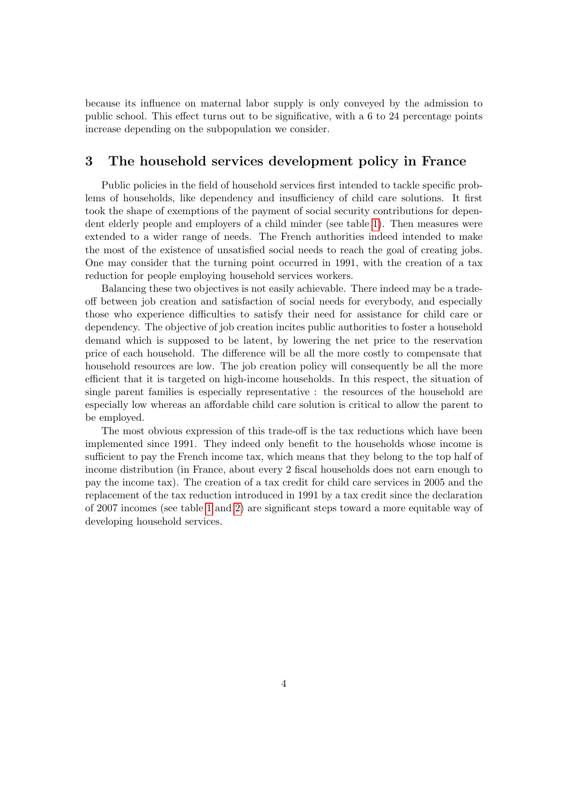because its influence on maternal labor supply is only conveyed by the admission to public school. This effect turns out to be significative, with a 6 to 24 percentage points increase depending on the subpopulation we consider.

# 3 The household services development policy in France

Public policies in the field of household services first intended to tackle specific problems of households, like dependency and insufficiency of child care solutions. It first took the shape of exemptions of the payment of social security contributions for dependent elderly people and employers of a child minder (see table [1\)](#page-5-0). Then measures were extended to a wider range of needs. The French authorities indeed intended to make the most of the existence of unsatisfied social needs to reach the goal of creating jobs. One may consider that the turning point occurred in 1991, with the creation of a tax reduction for people employing household services workers.

Balancing these two objectives is not easily achievable. There indeed may be a tradeoff between job creation and satisfaction of social needs for everybody, and especially those who experience difficulties to satisfy their need for assistance for child care or dependency. The objective of job creation incites public authorities to foster a household demand which is supposed to be latent, by lowering the net price to the reservation price of each household. The difference will be all the more costly to compensate that household resources are low. The job creation policy will consequently be all the more efficient that it is targeted on high-income households. In this respect, the situation of single parent families is especially representative : the resources of the household are especially low whereas an affordable child care solution is critical to allow the parent to be employed.

The most obvious expression of this trade-off is the tax reductions which have been implemented since 1991. They indeed only benefit to the households whose income is sufficient to pay the French income tax, which means that they belong to the top half of income distribution (in France, about every 2 fiscal households does not earn enough to pay the income tax). The creation of a tax credit for child care services in 2005 and the replacement of the tax reduction introduced in 1991 by a tax credit since the declaration of 2007 incomes (see table [1](#page-5-0) and [2\)](#page-6-0) are significant steps toward a more equitable way of developing household services.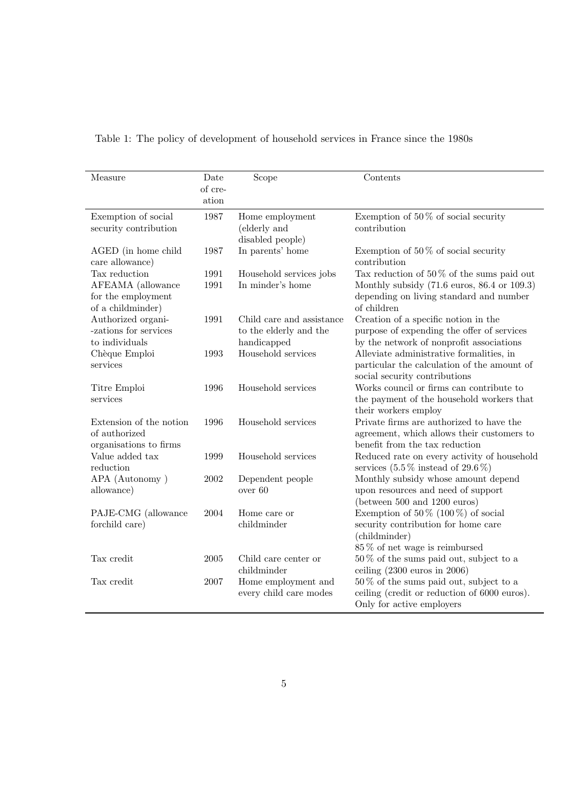| Measure                                                            | Date<br>of cre-<br>ation | Scope                                               | Contents                                                                                                                                                             |
|--------------------------------------------------------------------|--------------------------|-----------------------------------------------------|----------------------------------------------------------------------------------------------------------------------------------------------------------------------|
| Exemption of social<br>security contribution                       | 1987                     | Home employment<br>(elderly and<br>disabled people) | Exemption of 50 $\%$ of social security<br>contribution                                                                                                              |
| AGED (in home child<br>care allowance)                             | 1987                     | In parents' home                                    | Exemption of $50\%$ of social security<br>contribution                                                                                                               |
| Tax reduction                                                      | 1991                     | Household services jobs                             | Tax reduction of $50\%$ of the sums paid out                                                                                                                         |
| AFEAMA (allowance<br>for the employment<br>of a childminder)       | 1991                     | In minder's home                                    | Monthly subsidy $(71.6 \text{ euros}, 86.4 \text{ or } 109.3)$<br>depending on living standard and number<br>of children                                             |
| Authorized organi-<br>-zations for services<br>to individuals      | 1991                     | Child care and assistance<br>to the elderly and the | Creation of a specific notion in the<br>purpose of expending the offer of services                                                                                   |
| Chèque Emploi<br>services                                          | 1993                     | handicapped<br>Household services                   | by the network of nonprofit associations<br>Alleviate administrative formalities, in<br>particular the calculation of the amount of<br>social security contributions |
| Titre Emploi<br>services                                           | 1996                     | Household services                                  | Works council or firms can contribute to<br>the payment of the household workers that<br>their workers employ                                                        |
| Extension of the notion<br>of authorized<br>organisations to firms | 1996                     | Household services                                  | Private firms are authorized to have the<br>agreement, which allows their customers to<br>benefit from the tax reduction                                             |
| Value added tax<br>reduction                                       | 1999                     | Household services                                  | Reduced rate on every activity of household<br>services $(5.5\% \text{ instead of } 29.6\%)$                                                                         |
| APA (Autonomy)<br>allowance)                                       | 2002                     | Dependent people<br>over 60                         | Monthly subsidy whose amount depend<br>upon resources and need of support<br>(between 500 and 1200 euros)                                                            |
| PAJE-CMG (allowance<br>forchild care)                              | 2004                     | Home care or<br>childminder                         | Exemption of $50\%$ (100%) of social<br>security contribution for home care<br>(childminder)<br>$85\,\%$ of net wage is reimbursed                                   |
| Tax credit                                                         | 2005                     | Child care center or<br>childminder                 | $50\%$ of the sums paid out, subject to a<br>ceiling $(2300 \text{ euros in } 2006)$                                                                                 |
| Tax credit                                                         | 2007                     | Home employment and<br>every child care modes       | $50\%$ of the sums paid out, subject to a<br>ceiling (credit or reduction of 6000 euros).<br>Only for active employers                                               |

<span id="page-5-0"></span>Table 1: The policy of development of household services in France since the 1980s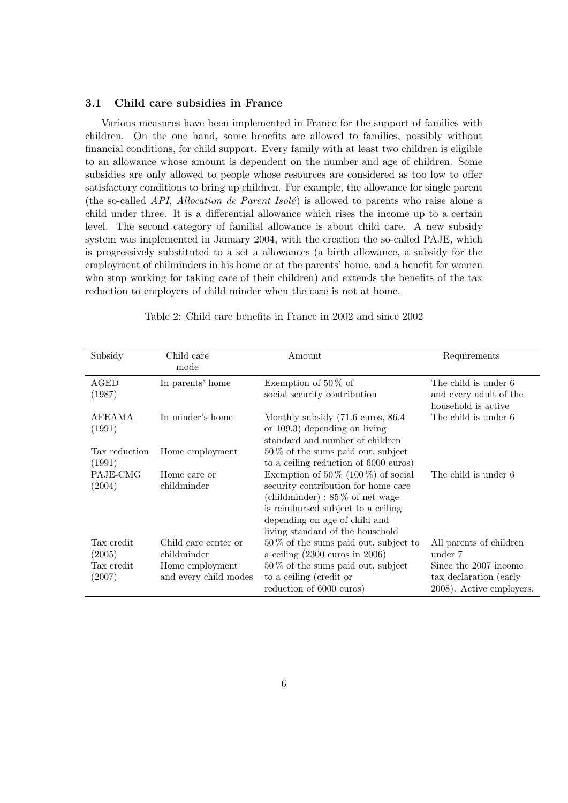#### 3.1 Child care subsidies in France

Various measures have been implemented in France for the support of families with children. On the one hand, some benefits are allowed to families, possibly without financial conditions, for child support. Every family with at least two children is eligible to an allowance whose amount is dependent on the number and age of children. Some subsidies are only allowed to people whose resources are considered as too low to offer satisfactory conditions to bring up children. For example, the allowance for single parent (the so-called API, Allocation de Parent Isolé) is allowed to parents who raise alone a child under three. It is a differential allowance which rises the income up to a certain level. The second category of familial allowance is about child care. A new subsidy system was implemented in January 2004, with the creation the so-called PAJE, which is progressively substituted to a set a allowances (a birth allowance, a subsidy for the employment of chilminders in his home or at the parents' home, and a benefit for women who stop working for taking care of their children) and extends the benefits of the tax reduction to employers of child minder when the care is not at home.

| Subsidy       | Child care            | Amount                                       | Requirements             |
|---------------|-----------------------|----------------------------------------------|--------------------------|
|               | mode                  |                                              |                          |
| AGED          | In parents' home      | Exemption of $50\%$ of                       | The child is under 6     |
| (1987)        |                       | social security contribution                 | and every adult of the   |
|               |                       |                                              | household is active      |
| AFEAMA        | In minder's home      | Monthly subsidy $(71.6 \text{ euros}, 86.4)$ | The child is under 6     |
| (1991)        |                       | or $109.3$ ) depending on living             |                          |
|               |                       | standard and number of children              |                          |
| Tax reduction | Home employment       | $50\%$ of the sums paid out, subject         |                          |
| (1991)        |                       | to a ceiling reduction of 6000 euros)        |                          |
| PAJE-CMG      | Home care or          | Exemption of $50\%$ (100%) of social         | The child is under 6     |
| (2004)        | childminder           | security contribution for home care          |                          |
|               |                       | (childminder); $85\%$ of net wage            |                          |
|               |                       | is reimbursed subject to a ceiling           |                          |
|               |                       | depending on age of child and                |                          |
|               |                       | living standard of the household             |                          |
| Tax credit    | Child care center or  | $50\%$ of the sums paid out, subject to      | All parents of children  |
| (2005)        | childminder           | a ceiling $(2300 \text{ euros in } 2006)$    | under 7                  |
| Tax credit    | Home employment       | $50\%$ of the sums paid out, subject         | Since the 2007 income    |
| (2007)        | and every child modes | to a ceiling (credit or                      | tax declaration (early   |
|               |                       | reduction of 6000 euros)                     | 2008). Active employers. |

<span id="page-6-0"></span>Table 2: Child care benefits in France in 2002 and since 2002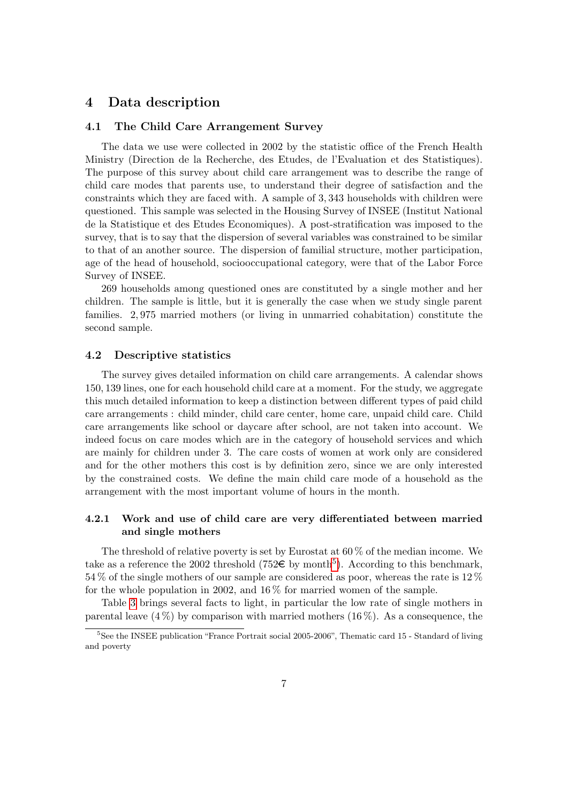# 4 Data description

#### 4.1 The Child Care Arrangement Survey

The data we use were collected in 2002 by the statistic office of the French Health Ministry (Direction de la Recherche, des Etudes, de l'Evaluation et des Statistiques). The purpose of this survey about child care arrangement was to describe the range of child care modes that parents use, to understand their degree of satisfaction and the constraints which they are faced with. A sample of 3, 343 households with children were questioned. This sample was selected in the Housing Survey of INSEE (Institut National de la Statistique et des Etudes Economiques). A post-stratification was imposed to the survey, that is to say that the dispersion of several variables was constrained to be similar to that of an another source. The dispersion of familial structure, mother participation, age of the head of household, sociooccupational category, were that of the Labor Force Survey of INSEE.

269 households among questioned ones are constituted by a single mother and her children. The sample is little, but it is generally the case when we study single parent families. 2, 975 married mothers (or living in unmarried cohabitation) constitute the second sample.

#### 4.2 Descriptive statistics

The survey gives detailed information on child care arrangements. A calendar shows 150, 139 lines, one for each household child care at a moment. For the study, we aggregate this much detailed information to keep a distinction between different types of paid child care arrangements : child minder, child care center, home care, unpaid child care. Child care arrangements like school or daycare after school, are not taken into account. We indeed focus on care modes which are in the category of household services and which are mainly for children under 3. The care costs of women at work only are considered and for the other mothers this cost is by definition zero, since we are only interested by the constrained costs. We define the main child care mode of a household as the arrangement with the most important volume of hours in the month.

### 4.2.1 Work and use of child care are very differentiated between married and single mothers

The threshold of relative poverty is set by Eurostat at  $60\%$  of the median income. We take as a reference the 2002 threshold (7[5](#page-7-0)2 $\epsilon$  by month<sup>5</sup>). According to this benchmark, 54 % of the single mothers of our sample are considered as poor, whereas the rate is 12 % for the whole population in 2002, and  $16\%$  for married women of the sample.

Table [3](#page-8-0) brings several facts to light, in particular the low rate of single mothers in parental leave  $(4\%)$  by comparison with married mothers  $(16\%)$ . As a consequence, the

<span id="page-7-0"></span><sup>5</sup>See the INSEE publication "France Portrait social 2005-2006", Thematic card 15 - Standard of living and poverty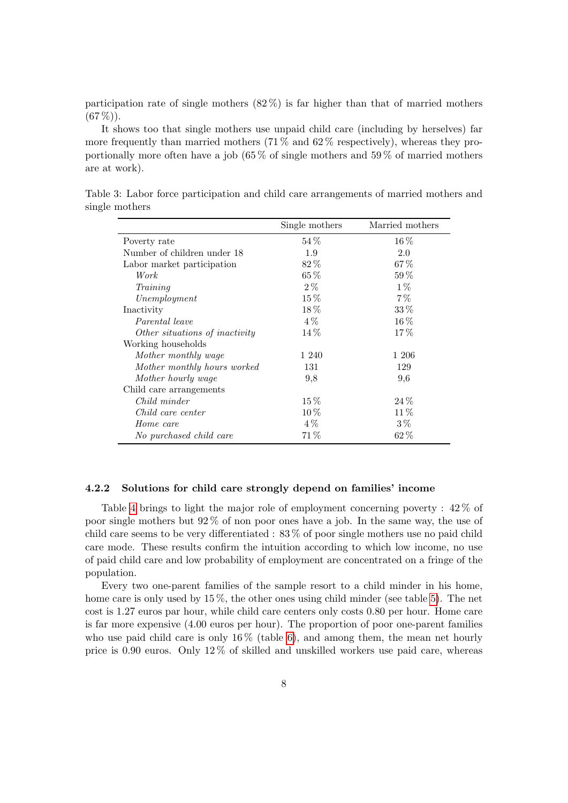participation rate of single mothers  $(82\%)$  is far higher than that of married mothers  $(67\%)$ .

It shows too that single mothers use unpaid child care (including by herselves) far more frequently than married mothers  $(71\%$  and  $62\%$  respectively), whereas they proportionally more often have a job (65 % of single mothers and 59 % of married mothers are at work).

Table 3: Labor force participation and child care arrangements of married mothers and single mothers

<span id="page-8-0"></span>

|                                | Single mothers | Married mothers |
|--------------------------------|----------------|-----------------|
| Poverty rate                   | $54\%$         | $16\%$          |
| Number of children under 18    | 1.9            | 2.0             |
| Labor market participation     | $82\%$         | 67%             |
| Work                           | $65\%$         | $59\%$          |
| Training                       | $2\%$          | $1\%$           |
| Unemployment                   | $15\%$         | $7\%$           |
| Inactivity                     | $18\%$         | $33\%$          |
| Parental leave                 | $4\%$          | $16\%$          |
| Other situations of inactivity | $14\%$         | $17\%$          |
| Working households             |                |                 |
| Mother monthly wage            | 1 240          | 1 206           |
| Mother monthly hours worked    | 131            | 129             |
| Mother hourly wage             | 9,8            | 9,6             |
| Child care arrangements        |                |                 |
| Child minder                   | $15\%$         | $24\%$          |
| Child care center              | $10\%$         | $11\%$          |
| Home care                      | $4\%$          | $3\%$           |
| No purchased child care        | 71%            | 62%             |

#### 4.2.2 Solutions for child care strongly depend on families' income

Table [4](#page-9-0) brings to light the major role of employment concerning poverty : 42 % of poor single mothers but 92 % of non poor ones have a job. In the same way, the use of child care seems to be very differentiated : 83 % of poor single mothers use no paid child care mode. These results confirm the intuition according to which low income, no use of paid child care and low probability of employment are concentrated on a fringe of the population.

Every two one-parent families of the sample resort to a child minder in his home, home care is only used by 15 %, the other ones using child minder (see table [5\)](#page-9-1). The net cost is 1.27 euros par hour, while child care centers only costs 0.80 per hour. Home care is far more expensive (4.00 euros per hour). The proportion of poor one-parent families who use paid child care is only  $16\%$  (table [6\)](#page-10-0), and among them, the mean net hourly price is 0.90 euros. Only 12 % of skilled and unskilled workers use paid care, whereas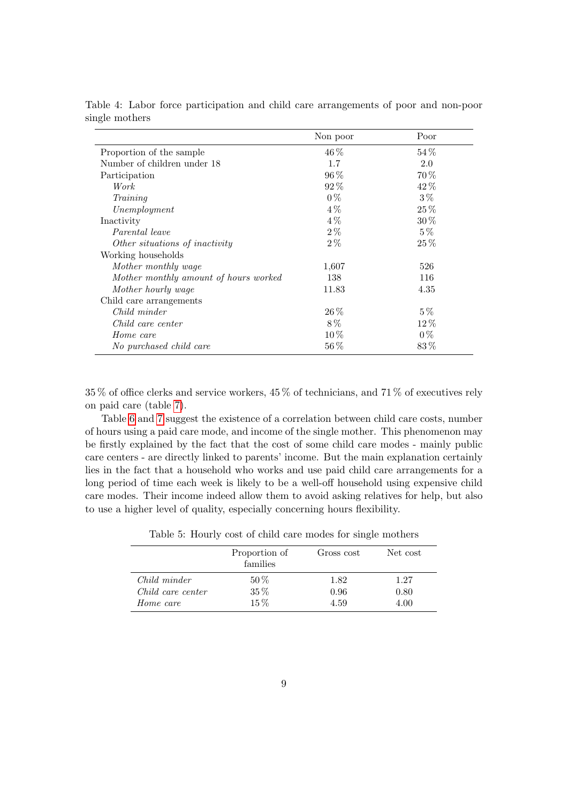|                                       | Non poor | Poor     |
|---------------------------------------|----------|----------|
| Proportion of the sample              | $46\%$   | $54\%$   |
| Number of children under 18           | 1.7      | 2.0      |
| Participation                         | $96\%$   | $70\%$   |
| Work                                  | 92%      | 42%      |
| Training                              | $0\%$    | $3\%$    |
| Unemployment                          | $4\%$    | $25\%$   |
| Inactivity                            | $4\%$    | $30\%$   |
| Parental leave                        | $2\%$    | $5\%$    |
| Other situations of inactivity        | $2\%$    | $25\%$   |
| Working households                    |          |          |
| Mother monthly wage                   | 1,607    | 526      |
| Mother monthly amount of hours worked | 138      | 116      |
| Mother hourly wage                    | 11.83    | 4.35     |
| Child care arrangements               |          |          |
| Child minder                          | $26\,\%$ | $5\%$    |
| Child care center                     | $8\%$    | $12\%$   |
| Home care                             | $10\%$   | $0\%$    |
| No purchased child care               | $56\%$   | $83\,\%$ |

<span id="page-9-0"></span>Table 4: Labor force participation and child care arrangements of poor and non-poor single mothers

35 % of office clerks and service workers, 45 % of technicians, and 71 % of executives rely on paid care (table [7\)](#page-11-0).

Table [6](#page-10-0) and [7](#page-11-0) suggest the existence of a correlation between child care costs, number of hours using a paid care mode, and income of the single mother. This phenomenon may be firstly explained by the fact that the cost of some child care modes - mainly public care centers - are directly linked to parents' income. But the main explanation certainly lies in the fact that a household who works and use paid child care arrangements for a long period of time each week is likely to be a well-off household using expensive child care modes. Their income indeed allow them to avoid asking relatives for help, but also to use a higher level of quality, especially concerning hours flexibility.

|                   | Proportion of<br>families | Gross cost | Net cost |
|-------------------|---------------------------|------------|----------|
| Child minder      | $50\,\%$                  | 1.82       | 1.27     |
| Child care center | $35\,\%$                  | 0.96       | 0.80     |
| Home care         | $15\%$                    | 4.59       | 4.00     |

<span id="page-9-1"></span>Table 5: Hourly cost of child care modes for single mothers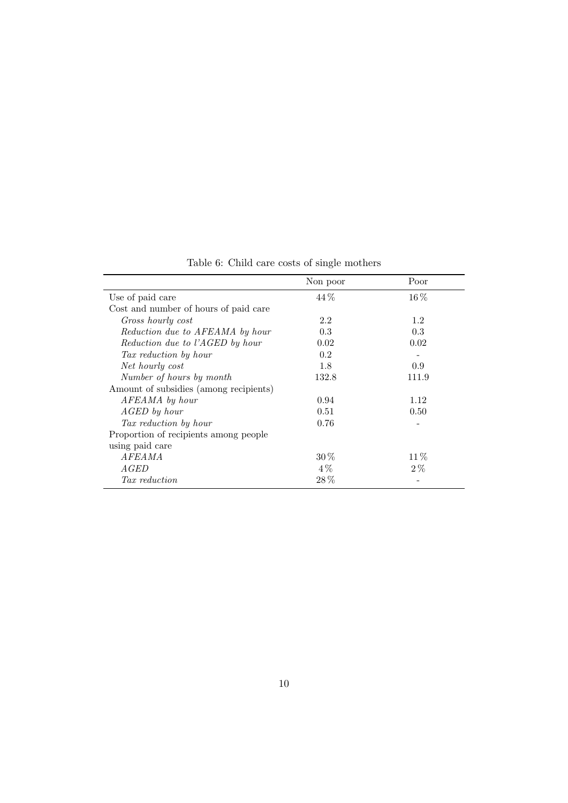|                                        | Non poor | Poor   |
|----------------------------------------|----------|--------|
| Use of paid care                       | 44 %     | $16\%$ |
| Cost and number of hours of paid care  |          |        |
| Gross hourly cost                      | 2.2      | 1.2    |
| Reduction due to AFEAMA by hour        | 0.3      | 0.3    |
| Reduction due to l'AGED by hour        | 0.02     | 0.02   |
| Tax reduction by hour                  | 0.2      |        |
| Net hourly cost                        | 1.8      | 0.9    |
| Number of hours by month               | 132.8    | 111.9  |
| Amount of subsidies (among recipients) |          |        |
| AFEAMA by hour                         | 0.94     | 1.12   |
| AGED by hour                           | 0.51     | 0.50   |
| Tax reduction by hour                  | 0.76     |        |
| Proportion of recipients among people  |          |        |
| using paid care                        |          |        |
| <i>AFEAMA</i>                          | $30\%$   | $11\%$ |
| <i>AGED</i>                            | $4\%$    | $2\%$  |
| Tax reduction                          | $28\%$   |        |

<span id="page-10-0"></span>Table 6: Child care costs of single mothers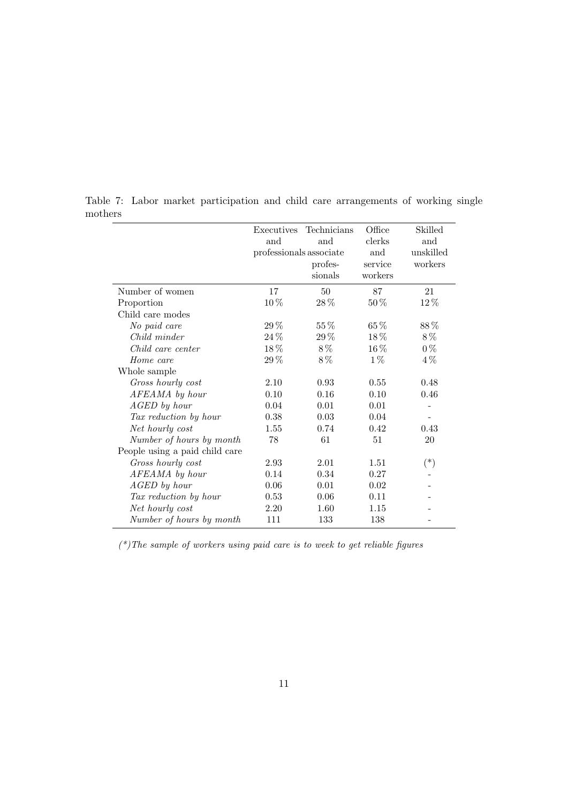<span id="page-11-0"></span>

|                                | Executives              | Technicians | Office   | Skilled   |
|--------------------------------|-------------------------|-------------|----------|-----------|
|                                | and                     | and         | clerks   | and       |
|                                | professionals associate |             | and      | unskilled |
|                                |                         | profes-     | service  | workers   |
|                                |                         | sionals     | workers  |           |
| Number of women                | 17                      | $50\,$      | 87       | 21        |
| Proportion                     | 10%                     | 28%         | 50%      | 12%       |
| Child care modes               |                         |             |          |           |
| No paid care                   | 29%                     | 55%         | 65%      | 88%       |
| Child minder                   | 24 %                    | 29%         | $18\%$   | 8%        |
| Child care center              | $18\,\%$                | 8%          | $16\,\%$ | $0\%$     |
| Home care                      | 29%                     | 8%          | $1\%$    | $4\%$     |
| Whole sample                   |                         |             |          |           |
| Gross hourly cost              | 2.10                    | 0.93        | 0.55     | 0.48      |
| AFEAMA by hour                 | 0.10                    | 0.16        | 0.10     | 0.46      |
| AGED by hour                   | 0.04                    | 0.01        | 0.01     |           |
| Tax reduction by hour          | 0.38                    | 0.03        | 0.04     |           |
| Net hourly cost                | 1.55                    | 0.74        | 0.42     | 0.43      |
| Number of hours by month       | 78                      | 61          | 51       | 20        |
| People using a paid child care |                         |             |          |           |
| Gross hourly cost              | 2.93                    | 2.01        | 1.51     | $(\ast)$  |
| AFEAMA by hour                 | 0.14                    | 0.34        | 0.27     |           |
| AGED by hour                   | 0.06                    | 0.01        | 0.02     |           |
| Tax reduction by hour          | 0.53                    | 0.06        | 0.11     |           |
| Net hourly cost                | 2.20                    | 1.60        | 1.15     |           |
| Number of hours by month       | 111                     | 133         | 138      |           |

Table 7: Labor market participation and child care arrangements of working single mothers

 $(*)$ The sample of workers using paid care is to week to get reliable figures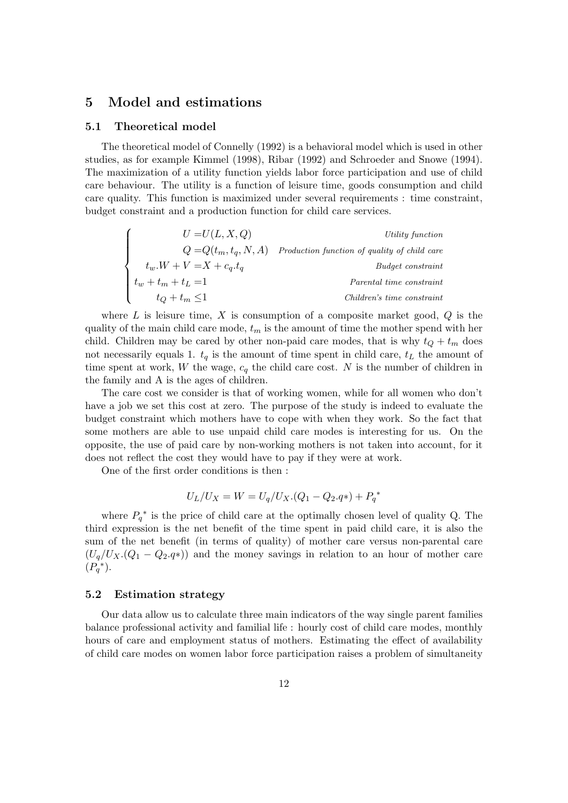### 5 Model and estimations

#### 5.1 Theoretical model

The theoretical model of Connelly (1992) is a behavioral model which is used in other studies, as for example Kimmel (1998), Ribar (1992) and Schroeder and Snowe (1994). The maximization of a utility function yields labor force participation and use of child care behaviour. The utility is a function of leisure time, goods consumption and child care quality. This function is maximized under several requirements : time constraint, budget constraint and a production function for child care services.

| $U=U(L,X,Q)$              | Utility function                             |
|---------------------------|----------------------------------------------|
| $Q = Q(t_m, t_a, N, A)$   | Production function of quality of child care |
| $t_w.W + V = X + c_q.t_q$ | Budget constraint                            |
| $t_w + t_m + t_L = 1$     | Parental time constraint                     |
| $t_Q + t_m \leq 1$        | Children's time constraint                   |

where  $L$  is leisure time,  $X$  is consumption of a composite market good,  $Q$  is the quality of the main child care mode,  $t_m$  is the amount of time the mother spend with her child. Children may be cared by other non-paid care modes, that is why  $t_Q + t_m$  does not necessarily equals 1.  $t_q$  is the amount of time spent in child care,  $t_L$  the amount of time spent at work, W the wage,  $c_q$  the child care cost. N is the number of children in the family and A is the ages of children.

The care cost we consider is that of working women, while for all women who don't have a job we set this cost at zero. The purpose of the study is indeed to evaluate the budget constraint which mothers have to cope with when they work. So the fact that some mothers are able to use unpaid child care modes is interesting for us. On the opposite, the use of paid care by non-working mothers is not taken into account, for it does not reflect the cost they would have to pay if they were at work.

One of the first order conditions is then :

$$
U_L/U_X = W = U_q/U_X.(Q_1 - Q_2.q*) + P_q^*
$$

where  $P_q^*$  is the price of child care at the optimally chosen level of quality Q. The third expression is the net benefit of the time spent in paid child care, it is also the sum of the net benefit (in terms of quality) of mother care versus non-parental care  $(U_q/U_X.(Q_1 - Q_2.q*))$  and the money savings in relation to an hour of mother care  $(P_q^*).$ 

#### 5.2 Estimation strategy

Our data allow us to calculate three main indicators of the way single parent families balance professional activity and familial life : hourly cost of child care modes, monthly hours of care and employment status of mothers. Estimating the effect of availability of child care modes on women labor force participation raises a problem of simultaneity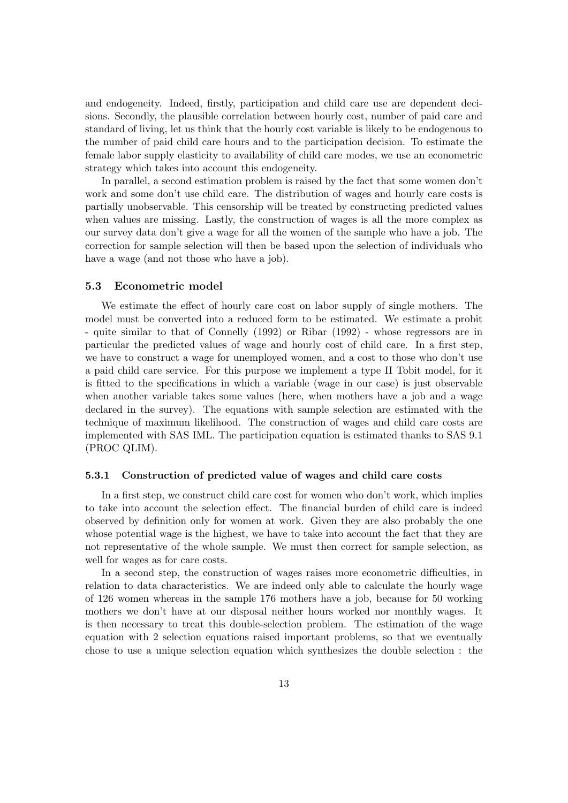and endogeneity. Indeed, firstly, participation and child care use are dependent decisions. Secondly, the plausible correlation between hourly cost, number of paid care and standard of living, let us think that the hourly cost variable is likely to be endogenous to the number of paid child care hours and to the participation decision. To estimate the female labor supply elasticity to availability of child care modes, we use an econometric strategy which takes into account this endogeneity.

In parallel, a second estimation problem is raised by the fact that some women don't work and some don't use child care. The distribution of wages and hourly care costs is partially unobservable. This censorship will be treated by constructing predicted values when values are missing. Lastly, the construction of wages is all the more complex as our survey data don't give a wage for all the women of the sample who have a job. The correction for sample selection will then be based upon the selection of individuals who have a wage (and not those who have a job).

#### 5.3 Econometric model

We estimate the effect of hourly care cost on labor supply of single mothers. The model must be converted into a reduced form to be estimated. We estimate a probit - quite similar to that of Connelly (1992) or Ribar (1992) - whose regressors are in particular the predicted values of wage and hourly cost of child care. In a first step, we have to construct a wage for unemployed women, and a cost to those who don't use a paid child care service. For this purpose we implement a type II Tobit model, for it is fitted to the specifications in which a variable (wage in our case) is just observable when another variable takes some values (here, when mothers have a job and a wage declared in the survey). The equations with sample selection are estimated with the technique of maximum likelihood. The construction of wages and child care costs are implemented with SAS IML. The participation equation is estimated thanks to SAS 9.1 (PROC QLIM).

#### 5.3.1 Construction of predicted value of wages and child care costs

In a first step, we construct child care cost for women who don't work, which implies to take into account the selection effect. The financial burden of child care is indeed observed by definition only for women at work. Given they are also probably the one whose potential wage is the highest, we have to take into account the fact that they are not representative of the whole sample. We must then correct for sample selection, as well for wages as for care costs.

In a second step, the construction of wages raises more econometric difficulties, in relation to data characteristics. We are indeed only able to calculate the hourly wage of 126 women whereas in the sample 176 mothers have a job, because for 50 working mothers we don't have at our disposal neither hours worked nor monthly wages. It is then necessary to treat this double-selection problem. The estimation of the wage equation with 2 selection equations raised important problems, so that we eventually chose to use a unique selection equation which synthesizes the double selection : the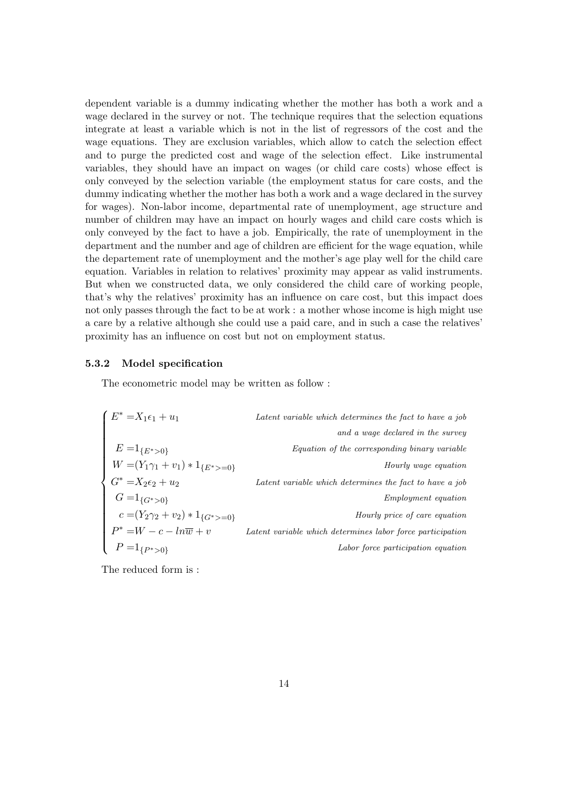dependent variable is a dummy indicating whether the mother has both a work and a wage declared in the survey or not. The technique requires that the selection equations integrate at least a variable which is not in the list of regressors of the cost and the wage equations. They are exclusion variables, which allow to catch the selection effect and to purge the predicted cost and wage of the selection effect. Like instrumental variables, they should have an impact on wages (or child care costs) whose effect is only conveyed by the selection variable (the employment status for care costs, and the dummy indicating whether the mother has both a work and a wage declared in the survey for wages). Non-labor income, departmental rate of unemployment, age structure and number of children may have an impact on hourly wages and child care costs which is only conveyed by the fact to have a job. Empirically, the rate of unemployment in the department and the number and age of children are efficient for the wage equation, while the departement rate of unemployment and the mother's age play well for the child care equation. Variables in relation to relatives' proximity may appear as valid instruments. But when we constructed data, we only considered the child care of working people, that's why the relatives' proximity has an influence on care cost, but this impact does not only passes through the fact to be at work : a mother whose income is high might use a care by a relative although she could use a paid care, and in such a case the relatives' proximity has an influence on cost but not on employment status.

#### 5.3.2 Model specification

The econometric model may be written as follow :

$$
\left\{\n\begin{aligned}\nE^* &= X_1 \epsilon_1 + u_1 & \text{Latent variable which determines the fact to have a job} \\
E &= 1_{\{E^*>0\}} & \text{Equation of the corresponding binary variable} \\
W &= (Y_1 \gamma_1 + v_1) * 1_{\{E^*>=0\}} & \text{Latent variable which determines the fact to have a job} \\
G^* &= X_2 \epsilon_2 + u_2 & \text{Latent variable which determines the fact to have a job} \\
G &= 1_{\{G^*>0\}} & \text{Emply price of care equation} \\
P^* &= W - c - \ln \overline{w} + v & \text{Latent variable which determines labor force participation} \\
P &= 1_{\{P^*>0\}} & \text{Labor force participation equation}\n\end{aligned}\n\right.
$$

The reduced form is :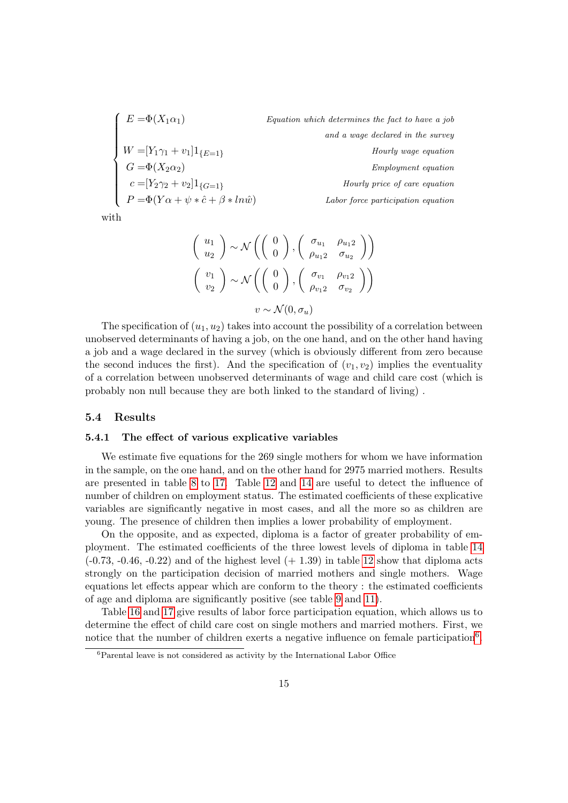$$
\left\{\n\begin{array}{ll}\nE = \Phi(X_1 \alpha_1) & \text{Equation which determines the fact to have a job} \\
W = [Y_1 \gamma_1 + v_1] 1_{\{E=1\}} & \text{and a wage declared in the survey} \\
G = \Phi(X_2 \alpha_2) & \text{Employment equation} \\
C = [Y_2 \gamma_2 + v_2] 1_{\{G=1\}} & \text{Hourly price of care equation} \\
P = \Phi(Y \alpha + \psi * \hat{c} + \beta * \ln \hat{w}) & \text{Labor force participation equation}\n\end{array}\n\right.
$$

with

$$
\begin{pmatrix}\nu_1 \\
u_2\n\end{pmatrix} \sim \mathcal{N}\left(\begin{pmatrix}\n0 \\
0\n\end{pmatrix}, \begin{pmatrix}\n\sigma_{u_1} & \rho_{u_12} \\
\rho_{u_12} & \sigma_{u_2}\n\end{pmatrix}\right)
$$
\n
$$
\begin{pmatrix}\nv_1 \\
v_2\n\end{pmatrix} \sim \mathcal{N}\left(\begin{pmatrix}\n0 \\
0\n\end{pmatrix}, \begin{pmatrix}\n\sigma_{v_1} & \rho_{v_12} \\
\rho_{v_12} & \sigma_{v_2}\n\end{pmatrix}\right)
$$
\n
$$
v \sim \mathcal{N}(0, \sigma_u)
$$

The specification of  $(u_1, u_2)$  takes into account the possibility of a correlation between unobserved determinants of having a job, on the one hand, and on the other hand having a job and a wage declared in the survey (which is obviously different from zero because the second induces the first). And the specification of  $(v_1, v_2)$  implies the eventuality of a correlation between unobserved determinants of wage and child care cost (which is probably non null because they are both linked to the standard of living) .

#### 5.4 Results

#### 5.4.1 The effect of various explicative variables

We estimate five equations for the 269 single mothers for whom we have information in the sample, on the one hand, and on the other hand for 2975 married mothers. Results are presented in table [8](#page-20-0) to [17.](#page-25-0) Table [12](#page-22-0) and [14](#page-23-0) are useful to detect the influence of number of children on employment status. The estimated coefficients of these explicative variables are significantly negative in most cases, and all the more so as children are young. The presence of children then implies a lower probability of employment.

On the opposite, and as expected, diploma is a factor of greater probability of employment. The estimated coefficients of the three lowest levels of diploma in table [14](#page-23-0)  $(-0.73, -0.46, -0.22)$  and of the highest level  $(+ 1.39)$  in table [12](#page-22-0) show that diploma acts strongly on the participation decision of married mothers and single mothers. Wage equations let effects appear which are conform to the theory : the estimated coefficients of age and diploma are significantly positive (see table [9](#page-21-0) and [11\)](#page-22-1).

Table [16](#page-24-0) and [17](#page-25-0) give results of labor force participation equation, which allows us to determine the effect of child care cost on single mothers and married mothers. First, we notice that the number of children exerts a negative influence on female participation<sup>[6](#page-15-0)</sup>.

<span id="page-15-0"></span><sup>6</sup>Parental leave is not considered as activity by the International Labor Office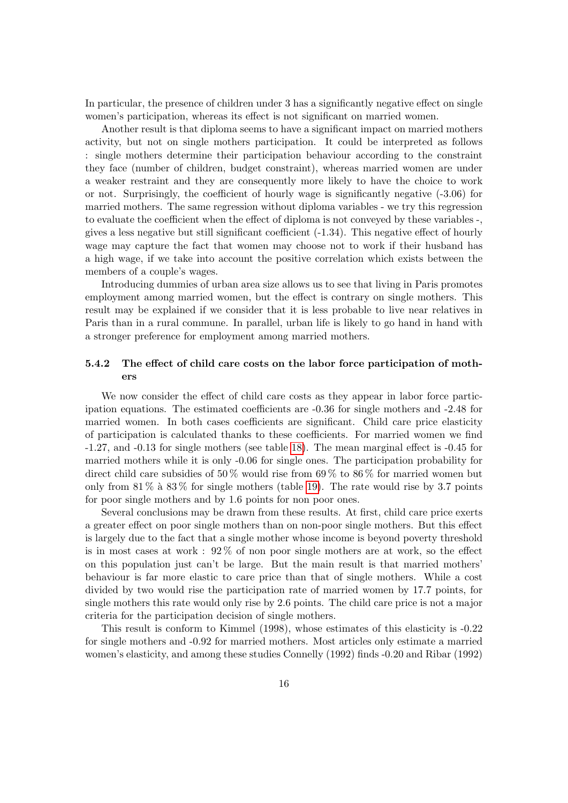In particular, the presence of children under 3 has a significantly negative effect on single women's participation, whereas its effect is not significant on married women.

Another result is that diploma seems to have a significant impact on married mothers activity, but not on single mothers participation. It could be interpreted as follows : single mothers determine their participation behaviour according to the constraint they face (number of children, budget constraint), whereas married women are under a weaker restraint and they are consequently more likely to have the choice to work or not. Surprisingly, the coefficient of hourly wage is significantly negative (-3.06) for married mothers. The same regression without diploma variables - we try this regression to evaluate the coefficient when the effect of diploma is not conveyed by these variables -, gives a less negative but still significant coefficient (-1.34). This negative effect of hourly wage may capture the fact that women may choose not to work if their husband has a high wage, if we take into account the positive correlation which exists between the members of a couple's wages.

Introducing dummies of urban area size allows us to see that living in Paris promotes employment among married women, but the effect is contrary on single mothers. This result may be explained if we consider that it is less probable to live near relatives in Paris than in a rural commune. In parallel, urban life is likely to go hand in hand with a stronger preference for employment among married mothers.

### 5.4.2 The effect of child care costs on the labor force participation of mothers

We now consider the effect of child care costs as they appear in labor force participation equations. The estimated coefficients are -0.36 for single mothers and -2.48 for married women. In both cases coefficients are significant. Child care price elasticity of participation is calculated thanks to these coefficients. For married women we find -1.27, and -0.13 for single mothers (see table [18\)](#page-26-0). The mean marginal effect is -0.45 for married mothers while it is only -0.06 for single ones. The participation probability for direct child care subsidies of 50% would rise from 69% to 86% for married women but only from  $81\%$  à  $83\%$  for single mothers (table [19\)](#page-26-1). The rate would rise by 3.7 points for poor single mothers and by 1.6 points for non poor ones.

Several conclusions may be drawn from these results. At first, child care price exerts a greater effect on poor single mothers than on non-poor single mothers. But this effect is largely due to the fact that a single mother whose income is beyond poverty threshold is in most cases at work : 92 % of non poor single mothers are at work, so the effect on this population just can't be large. But the main result is that married mothers' behaviour is far more elastic to care price than that of single mothers. While a cost divided by two would rise the participation rate of married women by 17.7 points, for single mothers this rate would only rise by 2.6 points. The child care price is not a major criteria for the participation decision of single mothers.

This result is conform to Kimmel (1998), whose estimates of this elasticity is -0.22 for single mothers and -0.92 for married mothers. Most articles only estimate a married women's elasticity, and among these studies Connelly (1992) finds -0.20 and Ribar (1992)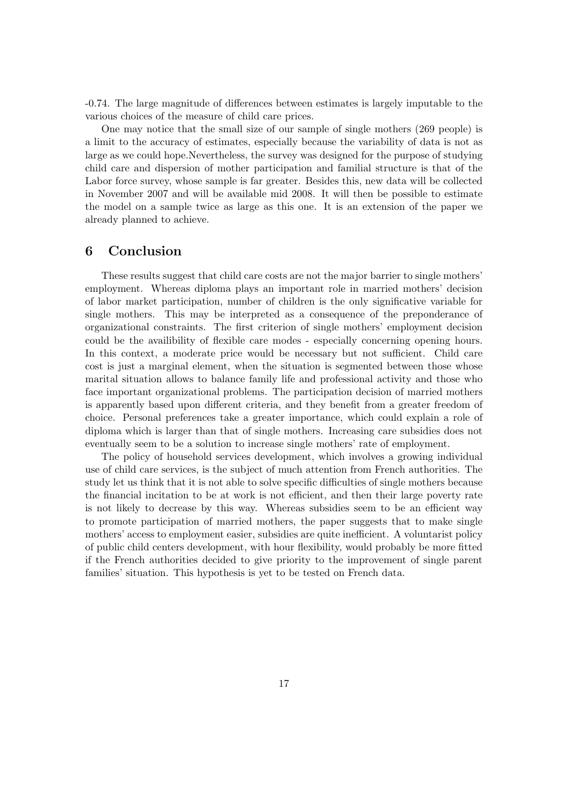-0.74. The large magnitude of differences between estimates is largely imputable to the various choices of the measure of child care prices.

One may notice that the small size of our sample of single mothers (269 people) is a limit to the accuracy of estimates, especially because the variability of data is not as large as we could hope.Nevertheless, the survey was designed for the purpose of studying child care and dispersion of mother participation and familial structure is that of the Labor force survey, whose sample is far greater. Besides this, new data will be collected in November 2007 and will be available mid 2008. It will then be possible to estimate the model on a sample twice as large as this one. It is an extension of the paper we already planned to achieve.

### 6 Conclusion

These results suggest that child care costs are not the major barrier to single mothers' employment. Whereas diploma plays an important role in married mothers' decision of labor market participation, number of children is the only significative variable for single mothers. This may be interpreted as a consequence of the preponderance of organizational constraints. The first criterion of single mothers' employment decision could be the availibility of flexible care modes - especially concerning opening hours. In this context, a moderate price would be necessary but not sufficient. Child care cost is just a marginal element, when the situation is segmented between those whose marital situation allows to balance family life and professional activity and those who face important organizational problems. The participation decision of married mothers is apparently based upon different criteria, and they benefit from a greater freedom of choice. Personal preferences take a greater importance, which could explain a role of diploma which is larger than that of single mothers. Increasing care subsidies does not eventually seem to be a solution to increase single mothers' rate of employment.

The policy of household services development, which involves a growing individual use of child care services, is the subject of much attention from French authorities. The study let us think that it is not able to solve specific difficulties of single mothers because the financial incitation to be at work is not efficient, and then their large poverty rate is not likely to decrease by this way. Whereas subsidies seem to be an efficient way to promote participation of married mothers, the paper suggests that to make single mothers' access to employment easier, subsidies are quite inefficient. A voluntarist policy of public child centers development, with hour flexibility, would probably be more fitted if the French authorities decided to give priority to the improvement of single parent families' situation. This hypothesis is yet to be tested on French data.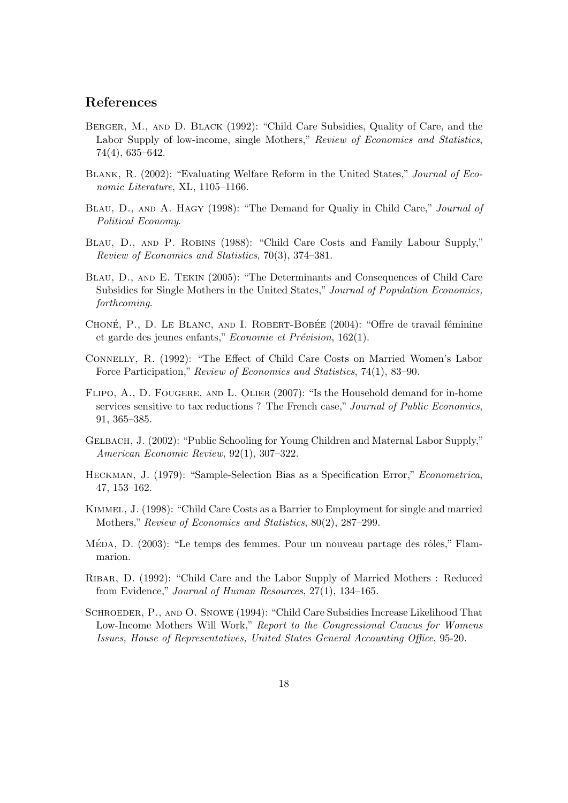## References

- Berger, M., and D. Black (1992): "Child Care Subsidies, Quality of Care, and the Labor Supply of low-income, single Mothers," Review of Economics and Statistics, 74(4), 635–642.
- Blank, R. (2002): "Evaluating Welfare Reform in the United States," Journal of Economic Literature, XL, 1105–1166.
- BLAU, D., AND A. HAGY (1998): "The Demand for Qualiy in Child Care," Journal of Political Economy.
- Blau, D., and P. Robins (1988): "Child Care Costs and Family Labour Supply," Review of Economics and Statistics, 70(3), 374–381.
- Blau, D., and E. Tekin (2005): "The Determinants and Consequences of Child Care Subsidies for Single Mothers in the United States," Journal of Population Economics, forthcoming.
- CHONÉ, P., D. LE BLANC, AND I. ROBERT-BOBÉE (2004): "Offre de travail féminine et garde des jeunes enfants,"  $Economic \ et \ Prévision, 162(1).$
- Connelly, R. (1992): "The Effect of Child Care Costs on Married Women's Labor Force Participation," Review of Economics and Statistics, 74(1), 83–90.
- FLIPO, A., D. FOUGERE, AND L. OLIER (2007): "Is the Household demand for in-home services sensitive to tax reductions ? The French case," Journal of Public Economics, 91, 365–385.
- Gelbach, J. (2002): "Public Schooling for Young Children and Maternal Labor Supply," American Economic Review, 92(1), 307–322.
- Heckman, J. (1979): "Sample-Selection Bias as a Specification Error," Econometrica, 47, 153–162.
- Kimmel, J. (1998): "Child Care Costs as a Barrier to Employment for single and married Mothers," Review of Economics and Statistics, 80(2), 287–299.
- Méda, D. (2003): "Le temps des femmes. Pour un nouveau partage des rôles," Flammarion.
- Ribar, D. (1992): "Child Care and the Labor Supply of Married Mothers : Reduced from Evidence," Journal of Human Resources, 27(1), 134–165.
- Schroeder, P., and O. Snowe (1994): "Child Care Subsidies Increase Likelihood That Low-Income Mothers Will Work," Report to the Congressional Caucus for Womens Issues, House of Representatives, United States General Accounting Office, 95-20.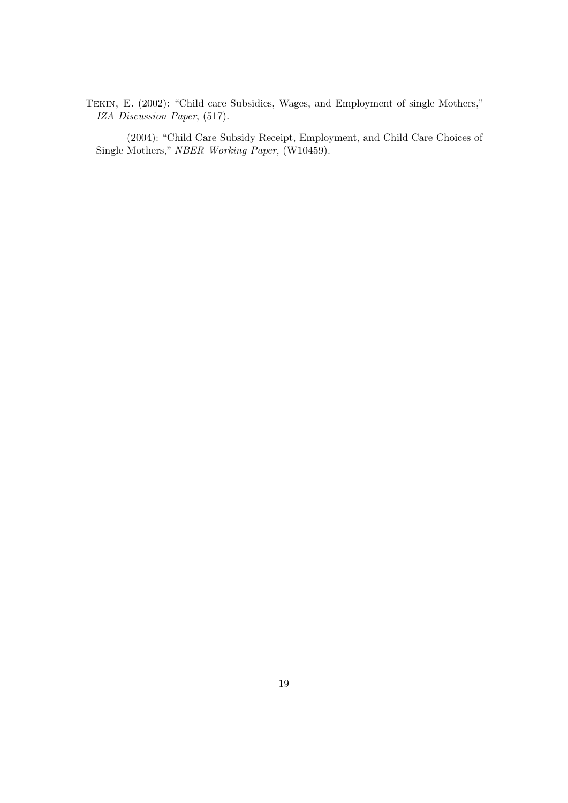Tekin, E. (2002): "Child care Subsidies, Wages, and Employment of single Mothers," IZA Discussion Paper, (517).

(2004): "Child Care Subsidy Receipt, Employment, and Child Care Choices of Single Mothers," NBER Working Paper, (W10459).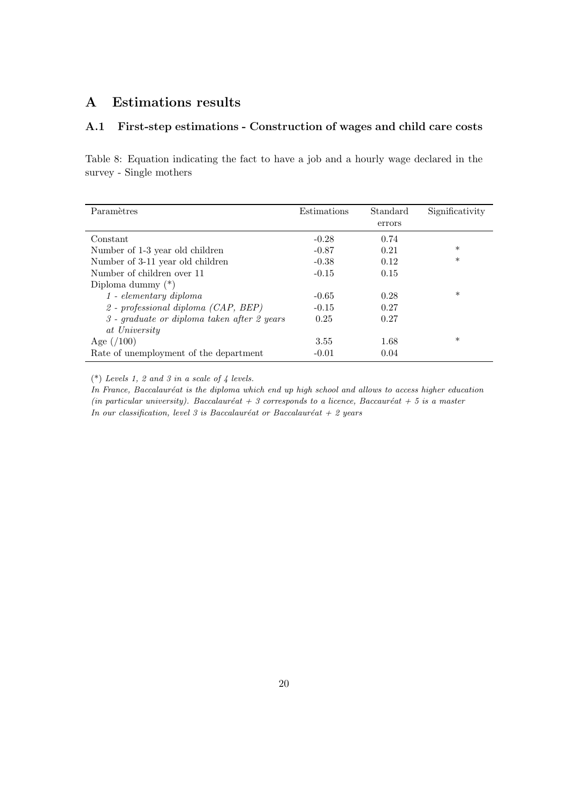# A Estimations results

## A.1 First-step estimations - Construction of wages and child care costs

<span id="page-20-0"></span>Table 8: Equation indicating the fact to have a job and a hourly wage declared in the survey - Single mothers

| Paramètres                                        | Estimations | Standard | Significativity |
|---------------------------------------------------|-------------|----------|-----------------|
|                                                   |             | errors   |                 |
|                                                   |             |          |                 |
| Constant                                          | $-0.28$     | 0.74     |                 |
| Number of 1-3 year old children                   | $-0.87$     | 0.21     | $\ast$          |
| Number of 3-11 year old children                  | $-0.38$     | 0.12     | $\ast$          |
| Number of children over 11                        | $-0.15$     | 0.15     |                 |
| Diploma dummy $(*)$                               |             |          |                 |
| $1$ - elementary diploma                          | $-0.65$     | 0.28     | $\ast$          |
| $2$ - professional diploma (CAP, BEP)             | $-0.15$     | 0.27     |                 |
| $\beta$ - graduate or diploma taken after 2 years | 0.25        | 0.27     |                 |
| at University                                     |             |          |                 |
| Age $(100)$                                       | 3.55        | 1.68     | $\ast$          |
| Rate of unemployment of the department            | $-0.01$     | 0.04     |                 |

(\*) Levels 1, 2 and 3 in a scale of 4 levels.

In France, Baccalauréat is the diploma which end up high school and allows to access higher education (in particular university). Baccalauréat + 3 corresponds to a licence, Baccauréat + 5 is a master In our classification, level 3 is Baccalauréat or Baccalauréat + 2 years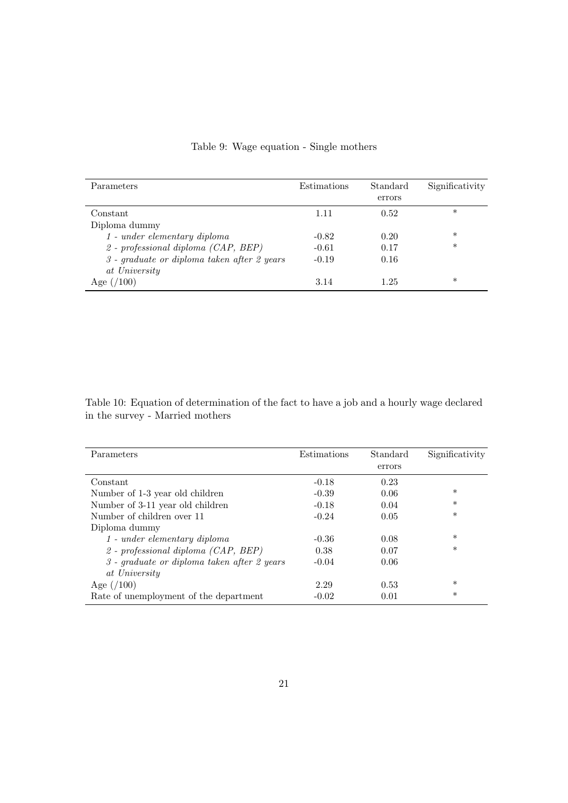| Parameters                                    | Estimations | Standard<br>errors | Significativity |
|-----------------------------------------------|-------------|--------------------|-----------------|
| Constant                                      | 1.11        | 0.52               | $\ast$          |
| Diploma dummy                                 |             |                    |                 |
| $1$ - under elementary diploma                | $-0.82$     | 0.20               | $\ast$          |
| 2 - professional diploma (CAP, BEP)           | $-0.61$     | 0.17               | $\ast$          |
| $3$ - graduate or diploma taken after 2 years | $-0.19$     | 0.16               |                 |
| at University                                 |             |                    |                 |
| LOO`<br>Age $\frac{1}{2}$                     | 3.14        | 1.25               | $\ast$          |

# <span id="page-21-0"></span>Table 9: Wage equation - Single mothers

Table 10: Equation of determination of the fact to have a job and a hourly wage declared in the survey - Married mothers

| Parameters                                    | Estimations | Standard | Significativity |
|-----------------------------------------------|-------------|----------|-----------------|
|                                               |             | errors   |                 |
| Constant                                      | $-0.18$     | 0.23     |                 |
| Number of 1-3 year old children               | $-0.39$     | 0.06     | $\ast$          |
| Number of 3-11 year old children              | $-0.18$     | 0.04     | $\ast$          |
| Number of children over 11                    | $-0.24$     | 0.05     | $\ast$          |
| Diploma dummy                                 |             |          |                 |
| $1$ - under elementary diploma                | $-0.36$     | 0.08     | $\ast$          |
| $2$ - professional diploma (CAP, BEP)         | 0.38        | 0.07     | $\ast$          |
| $3$ - graduate or diploma taken after 2 years | $-0.04$     | 0.06     |                 |
| at University                                 |             |          |                 |
| Age $(100)$                                   | 2.29        | 0.53     | $\ast$          |
| Rate of unemployment of the department        | $-0.02$     | 0.01     | $\ast$          |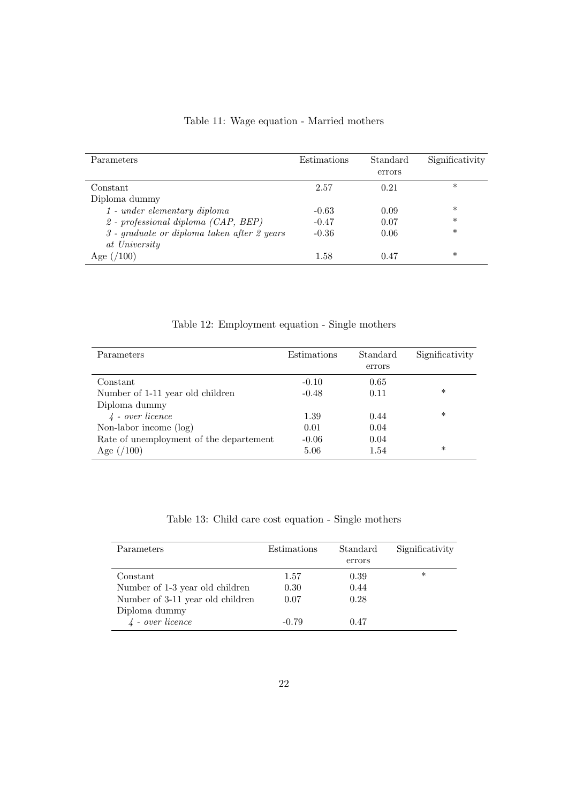| Parameters                                    | Estimations | Standard | Significativity |
|-----------------------------------------------|-------------|----------|-----------------|
|                                               |             | errors   |                 |
| Constant                                      | 2.57        | 0.21     | $\ast$          |
| Diploma dummy                                 |             |          |                 |
| $1$ - under elementary diploma                | $-0.63$     | 0.09     | $\ast$          |
| $2$ - professional diploma (CAP, BEP)         | $-0.47$     | 0.07     | $\ast$          |
| $3$ - graduate or diploma taken after 2 years | $-0.36$     | 0.06     | $\ast$          |
| at University                                 |             |          |                 |
| $^{\prime}100)$<br>Age $\frac{1}{2}$          | 1.58        | 0.47     | $\ast$          |

<span id="page-22-1"></span>Table 11: Wage equation - Married mothers

<span id="page-22-0"></span>Table 12: Employment equation - Single mothers

| Parameters                              | Estimations | Standard<br>errors | Significativity |
|-----------------------------------------|-------------|--------------------|-----------------|
| Constant                                | $-0.10$     | 0.65               |                 |
| Number of 1-11 year old children        | $-0.48$     | 0.11               | $\ast$          |
| Diploma dummy                           |             |                    |                 |
| $\lambda$ - over licence                | 1.39        | 0.44               | $\ast$          |
| Non-labor income $(\log)$               | 0.01        | 0.04               |                 |
| Rate of unemployment of the departement | $-0.06$     | 0.04               |                 |
| Age $(100)$                             | 5.06        | 1.54               | $\ast$          |

| Table 13: Child care cost equation - Single mothers |  |  |  |
|-----------------------------------------------------|--|--|--|
|-----------------------------------------------------|--|--|--|

| Parameters                       | Estimations | Standard | Significativity |
|----------------------------------|-------------|----------|-----------------|
|                                  |             | errors   |                 |
| Constant                         | 1.57        | 0.39     | $\ast$          |
| Number of 1-3 year old children  | 0.30        | 0.44     |                 |
| Number of 3-11 year old children | 0.07        | 0.28     |                 |
| Diploma dummy                    |             |          |                 |
| $\lambda$ - over licence         | $-0.79$     | 0.47     |                 |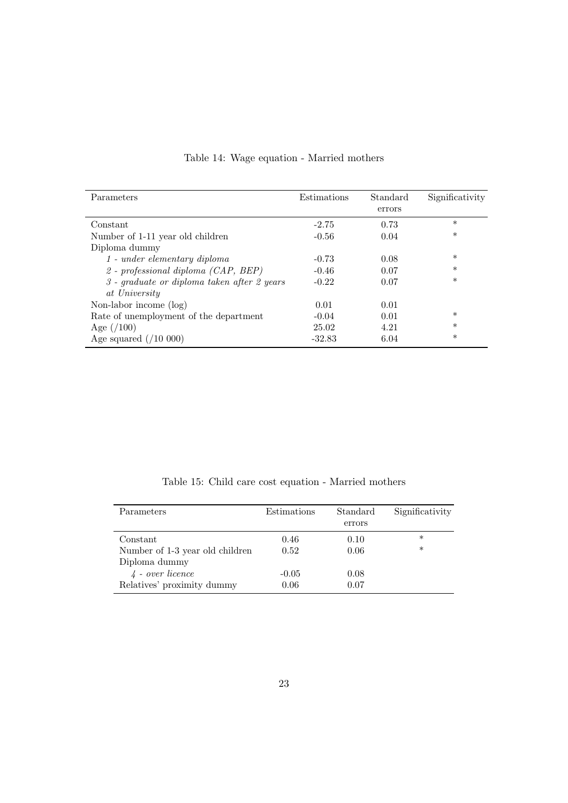| Parameters                                    | Estimations | Standard | Significativity |
|-----------------------------------------------|-------------|----------|-----------------|
|                                               |             | errors   |                 |
|                                               |             |          |                 |
| Constant                                      | $-2.75$     | 0.73     | $\ast$          |
| Number of 1-11 year old children              | $-0.56$     | 0.04     | $\ast$          |
| Diploma dummy                                 |             |          |                 |
| $1$ - under elementary diploma                | $-0.73$     | 0.08     | $\ast$          |
| 2 - professional diploma $(CAP, BEP)$         | $-0.46$     | 0.07     | $\ast$          |
| $3$ - graduate or diploma taken after 2 years | $-0.22$     | 0.07     | $\ast$          |
| at University                                 |             |          |                 |
| Non-labor income (log)                        | 0.01        | 0.01     |                 |
| Rate of unemployment of the department        | $-0.04$     | 0.01     | $\ast$          |
| Age $(100)$                                   | 25.02       | 4.21     | $\ast$          |
| Age squared $(710000)$                        | $-32.83$    | 6.04     | $\ast$          |
|                                               |             |          |                 |

# <span id="page-23-0"></span>Table 14: Wage equation - Married mothers

Table 15: Child care cost equation - Married mothers

| Parameters                      | Estimations | Standard<br>errors | Significativity |
|---------------------------------|-------------|--------------------|-----------------|
| Constant                        | 0.46        | 0.10               | $\ast$          |
| Number of 1-3 year old children | 0.52        | 0.06               | $\ast$          |
| Diploma dummy                   |             |                    |                 |
| $\frac{1}{4}$ - over licence    | $-0.05$     | 0.08               |                 |
| Relatives' proximity dummy      | 0.06        | 0.07               |                 |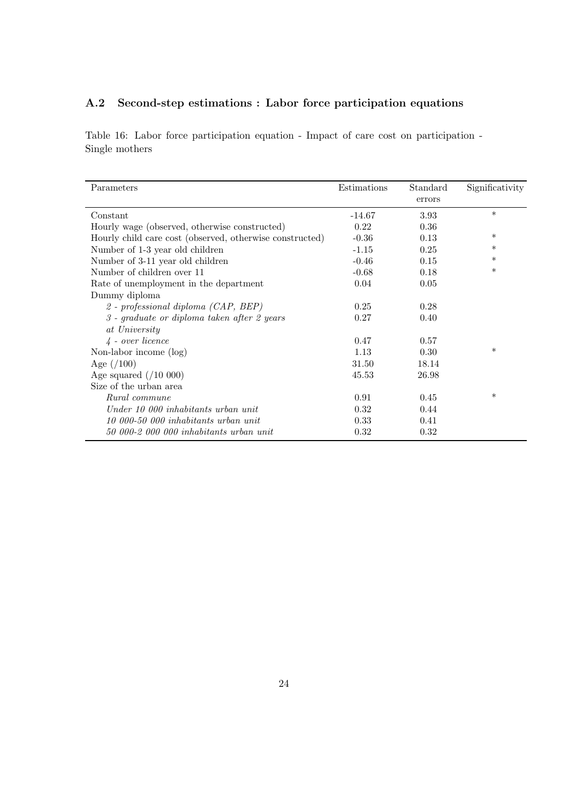# A.2 Second-step estimations : Labor force participation equations

<span id="page-24-0"></span>Table 16: Labor force participation equation - Impact of care cost on participation - Single mothers

| Parameters                                               | Estimations | Standard<br>errors | Significativity |
|----------------------------------------------------------|-------------|--------------------|-----------------|
| Constant                                                 | $-14.67$    | 3.93               | $\ast$          |
| Hourly wage (observed, otherwise constructed)            | 0.22        | 0.36               |                 |
| Hourly child care cost (observed, otherwise constructed) | $-0.36$     | 0.13               | $\ast$          |
| Number of 1-3 year old children                          | $-1.15$     | 0.25               | $\ast$          |
| Number of 3-11 year old children                         | $-0.46$     | 0.15               | $\ast$          |
| Number of children over 11                               | $-0.68$     | 0.18               | $\ast$          |
| Rate of unemployment in the department                   | 0.04        | 0.05               |                 |
| Dummy diploma                                            |             |                    |                 |
| 2 - professional diploma (CAP, BEP)                      | 0.25        | 0.28               |                 |
| $3$ - graduate or diploma taken after 2 years            | 0.27        | 0.40               |                 |
| at University                                            |             |                    |                 |
| $\lambda$ - over licence                                 | 0.47        | 0.57               |                 |
| Non-labor income (log)                                   | 1.13        | 0.30               | $\ast$          |
| Age $(100)$                                              | 31.50       | 18.14              |                 |
| Age squared $(10 000)$                                   | 45.53       | 26.98              |                 |
| Size of the urban area                                   |             |                    |                 |
| Rural commune                                            | 0.91        | 0.45               | $\ast$          |
| Under 10 000 inhabitants urban unit                      | 0.32        | 0.44               |                 |
| 10 000-50 000 inhabitants urban unit                     | 0.33        | 0.41               |                 |
| 50 000-2 000 000 inhabitants urban unit                  | 0.32        | 0.32               |                 |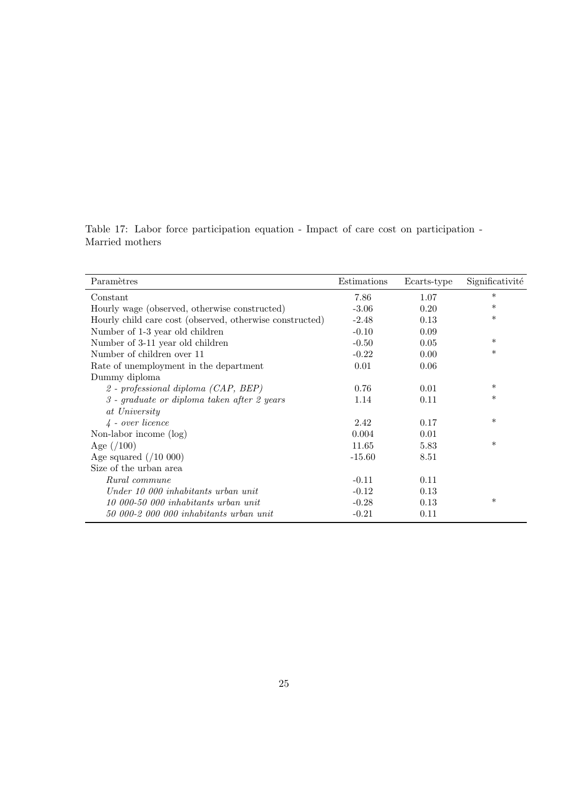<span id="page-25-0"></span>Table 17: Labor force participation equation - Impact of care cost on participation - Married mothers

| Paramètres                                               | Estimations | Ecarts-type | Significativité |
|----------------------------------------------------------|-------------|-------------|-----------------|
| Constant                                                 | 7.86        | 1.07        | $\ast$          |
| Hourly wage (observed, otherwise constructed)            | $-3.06$     | 0.20        | $\ast$          |
| Hourly child care cost (observed, otherwise constructed) | $-2.48$     | 0.13        | $\ast$          |
| Number of 1-3 year old children                          | $-0.10$     | 0.09        |                 |
| Number of 3-11 year old children                         | $-0.50$     | 0.05        | $\ast$          |
| Number of children over 11                               | $-0.22$     | 0.00        | $\ast$          |
| Rate of unemployment in the department                   | 0.01        | 0.06        |                 |
| Dummy diploma                                            |             |             |                 |
| 2 - professional diploma (CAP, BEP)                      | 0.76        | 0.01        | $\ast$          |
| $3$ - graduate or diploma taken after 2 years            | 1.14        | 0.11        | $\ast$          |
| at University                                            |             |             |                 |
| $\frac{1}{4}$ - over licence                             | 2.42        | 0.17        | $\ast$          |
| Non-labor income $(\log)$                                | 0.004       | 0.01        |                 |
| Age $(100)$                                              | 11.65       | 5.83        | $\ast$          |
| Age squared $(10 000)$                                   | $-15.60$    | 8.51        |                 |
| Size of the urban area                                   |             |             |                 |
| Rural commune                                            | $-0.11$     | 0.11        |                 |
| Under 10 000 inhabitants urban unit                      | $-0.12$     | 0.13        |                 |
| 10 000-50 000 inhabitants urban unit                     | $-0.28$     | 0.13        | $\ast$          |
| 50 000-2 000 000 inhabitants urban unit                  | $-0.21$     | 0.11        |                 |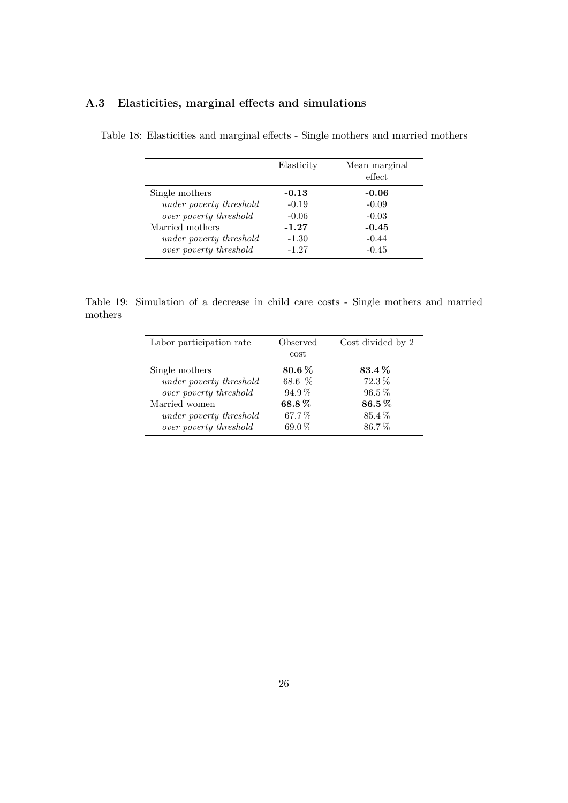<span id="page-26-0"></span>

|                                | Elasticity | Mean marginal<br>effect |
|--------------------------------|------------|-------------------------|
| Single mothers                 | $-0.13$    | $-0.06$                 |
| under poverty threshold        | $-0.19$    | $-0.09$                 |
| over poverty threshold         | $-0.06$    | $-0.03$                 |
| Married mothers                | $-1.27$    | $-0.45$                 |
| <i>under poverty threshold</i> | $-1.30$    | $-0.44$                 |
| over poverty threshold         | $-1.27$    | $-0.45$                 |

# A.3 Elasticities, marginal effects and simulations

Table 18: Elasticities and marginal effects - Single mothers and married mothers

Table 19: Simulation of a decrease in child care costs - Single mothers and married mothers

<span id="page-26-1"></span>

| Labor participation rate       | Observed<br>cost | Cost divided by 2 |
|--------------------------------|------------------|-------------------|
| Single mothers                 | $80.6\,\%$       | 83.4%             |
| under poverty threshold        | 68.6 %           | $72.3\%$          |
| over poverty threshold         | $94.9\%$         | $96.5\%$          |
| Married women                  | 68.8%            | $86.5\,\%$        |
| <i>under poverty threshold</i> | 67.7%            | 85.4%             |
| over poverty threshold         | $69.0\,\%$       | 86.7%             |